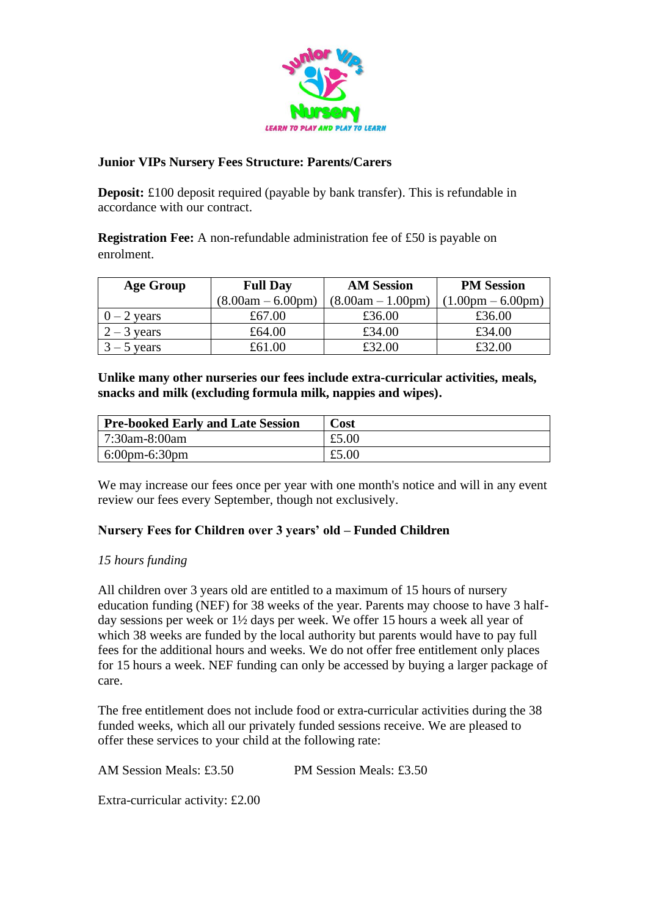

### **Junior VIPs Nursery Fees Structure: Parents/Carers**

**Deposit:** £100 deposit required (payable by bank transfer). This is refundable in accordance with our contract.

**Registration Fee:** A non-refundable administration fee of £50 is payable on enrolment.

| <b>Age Group</b> | <b>Full Day</b>     | <b>AM Session</b>   | <b>PM Session</b>                   |
|------------------|---------------------|---------------------|-------------------------------------|
|                  | $(8.00am - 6.00pm)$ | $(8.00am - 1.00pm)$ | $(1.00 \text{pm} - 6.00 \text{pm})$ |
| $-2$ years       | £67.00              | £36.00              | £36.00                              |
| $2 - 3$ years    | £64.00              | £34.00              | £34.00                              |
| $3 - 5$ years    | £61.00              | £32.00              | £32.00                              |

**Unlike many other nurseries our fees include extra-curricular activities, meals, snacks and milk (excluding formula milk, nappies and wipes).** 

| <b>Pre-booked Early and Late Session</b> | Cost  |
|------------------------------------------|-------|
| 7:30am-8:00am                            | £5.00 |
| $\sim 6:00 \text{pm-}6:30 \text{pm}$     | £5.00 |

We may increase our fees once per year with one month's notice and will in any event review our fees every September, though not exclusively.

#### **Nursery Fees for Children over 3 years' old – Funded Children**

#### *15 hours funding*

All children over 3 years old are entitled to a maximum of 15 hours of nursery education funding (NEF) for 38 weeks of the year. Parents may choose to have 3 halfday sessions per week or 1½ days per week. We offer 15 hours a week all year of which 38 weeks are funded by the local authority but parents would have to pay full fees for the additional hours and weeks. We do not offer free entitlement only places for 15 hours a week. NEF funding can only be accessed by buying a larger package of care.

The free entitlement does not include food or extra-curricular activities during the 38 funded weeks, which all our privately funded sessions receive. We are pleased to offer these services to your child at the following rate:

AM Session Meals: £3.50 PM Session Meals: £3.50 Extra-curricular activity: £2.00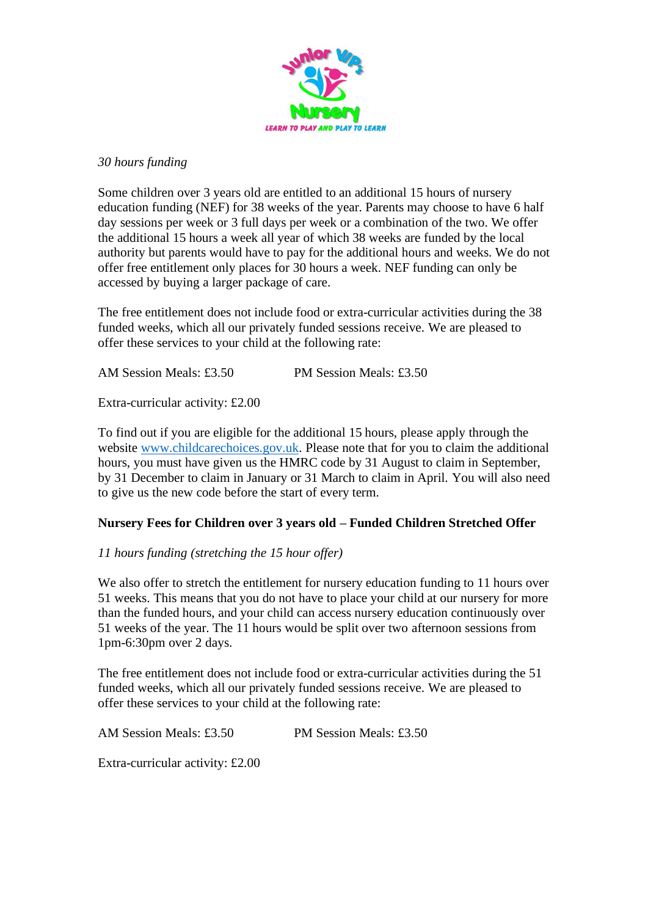

### *30 hours funding*

Some children over 3 years old are entitled to an additional 15 hours of nursery education funding (NEF) for 38 weeks of the year. Parents may choose to have 6 half day sessions per week or 3 full days per week or a combination of the two. We offer the additional 15 hours a week all year of which 38 weeks are funded by the local authority but parents would have to pay for the additional hours and weeks. We do not offer free entitlement only places for 30 hours a week. NEF funding can only be accessed by buying a larger package of care.

The free entitlement does not include food or extra-curricular activities during the 38 funded weeks, which all our privately funded sessions receive. We are pleased to offer these services to your child at the following rate:

AM Session Meals: £3.50 PM Session Meals: £3.50

Extra-curricular activity: £2.00

To find out if you are eligible for the additional 15 hours, please apply through the website [www.childcarechoices.gov.uk.](http://www.childcarechoices.gov.uk/) Please note that for you to claim the additional hours, you must have given us the HMRC code by 31 August to claim in September, by 31 December to claim in January or 31 March to claim in April. You will also need to give us the new code before the start of every term.

# **Nursery Fees for Children over 3 years old – Funded Children Stretched Offer**

## *11 hours funding (stretching the 15 hour offer)*

We also offer to stretch the entitlement for nursery education funding to 11 hours over 51 weeks. This means that you do not have to place your child at our nursery for more than the funded hours, and your child can access nursery education continuously over 51 weeks of the year. The 11 hours would be split over two afternoon sessions from 1pm-6:30pm over 2 days.

The free entitlement does not include food or extra-curricular activities during the 51 funded weeks, which all our privately funded sessions receive. We are pleased to offer these services to your child at the following rate:

AM Session Meals: £3.50 PM Session Meals: £3.50

Extra-curricular activity: £2.00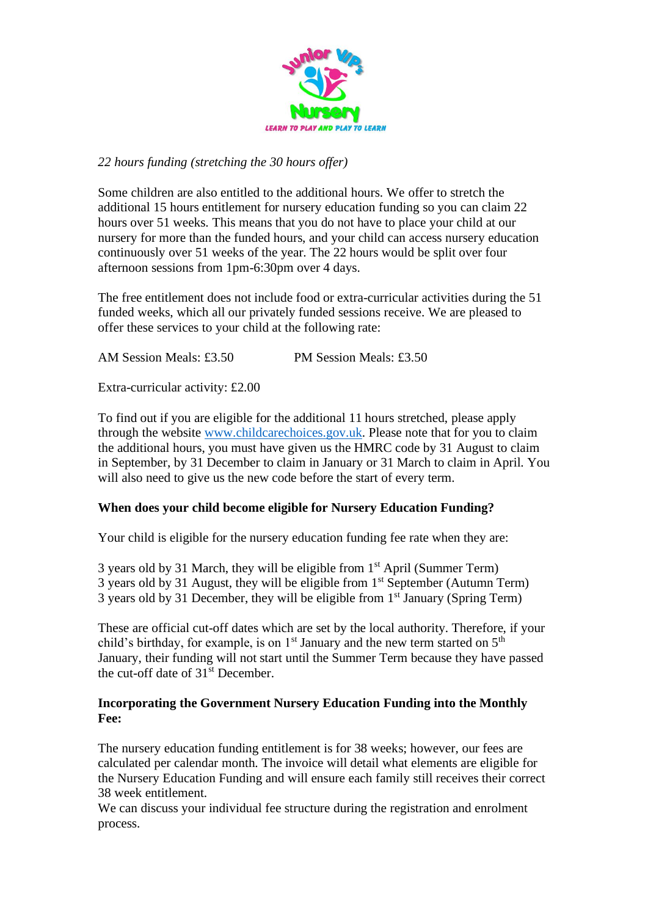

## *22 hours funding (stretching the 30 hours offer)*

Some children are also entitled to the additional hours. We offer to stretch the additional 15 hours entitlement for nursery education funding so you can claim 22 hours over 51 weeks. This means that you do not have to place your child at our nursery for more than the funded hours, and your child can access nursery education continuously over 51 weeks of the year. The 22 hours would be split over four afternoon sessions from 1pm-6:30pm over 4 days.

The free entitlement does not include food or extra-curricular activities during the 51 funded weeks, which all our privately funded sessions receive. We are pleased to offer these services to your child at the following rate:

AM Session Meals: £3.50 PM Session Meals: £3.50

Extra-curricular activity: £2.00

To find out if you are eligible for the additional 11 hours stretched, please apply through the website [www.childcarechoices.gov.uk.](http://www.childcarechoices.gov.uk/) Please note that for you to claim the additional hours, you must have given us the HMRC code by 31 August to claim in September, by 31 December to claim in January or 31 March to claim in April. You will also need to give us the new code before the start of every term.

# **When does your child become eligible for Nursery Education Funding?**

Your child is eligible for the nursery education funding fee rate when they are:

3 years old by 31 March, they will be eligible from  $1<sup>st</sup>$  April (Summer Term) 3 years old by 31 August, they will be eligible from  $1<sup>st</sup>$  September (Autumn Term) 3 years old by 31 December, they will be eligible from 1<sup>st</sup> January (Spring Term)

These are official cut-off dates which are set by the local authority. Therefore, if your child's birthday, for example, is on  $1<sup>st</sup>$  January and the new term started on  $5<sup>th</sup>$ January, their funding will not start until the Summer Term because they have passed the cut-off date of 31<sup>st</sup> December.

## **Incorporating the Government Nursery Education Funding into the Monthly Fee:**

The nursery education funding entitlement is for 38 weeks; however, our fees are calculated per calendar month. The invoice will detail what elements are eligible for the Nursery Education Funding and will ensure each family still receives their correct 38 week entitlement.

We can discuss your individual fee structure during the registration and enrolment process.